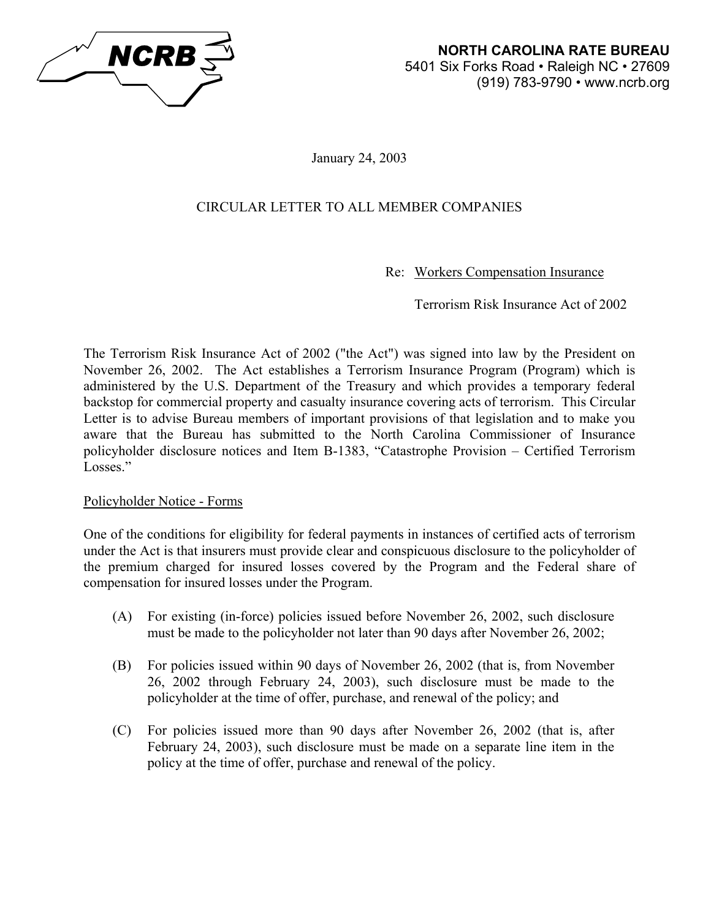

January 24, 2003

# CIRCULAR LETTER TO ALL MEMBER COMPANIES

Re: Workers Compensation Insurance

Terrorism Risk Insurance Act of 2002

The Terrorism Risk Insurance Act of 2002 ("the Act") was signed into law by the President on November 26, 2002. The Act establishes a Terrorism Insurance Program (Program) which is administered by the U.S. Department of the Treasury and which provides a temporary federal backstop for commercial property and casualty insurance covering acts of terrorism. This Circular Letter is to advise Bureau members of important provisions of that legislation and to make you aware that the Bureau has submitted to the North Carolina Commissioner of Insurance policyholder disclosure notices and Item B-1383, "Catastrophe Provision – Certified Terrorism Losses."

## Policyholder Notice - Forms

One of the conditions for eligibility for federal payments in instances of certified acts of terrorism under the Act is that insurers must provide clear and conspicuous disclosure to the policyholder of the premium charged for insured losses covered by the Program and the Federal share of compensation for insured losses under the Program.

- (A) For existing (in-force) policies issued before November 26, 2002, such disclosure must be made to the policyholder not later than 90 days after November 26, 2002;
- (B) For policies issued within 90 days of November 26, 2002 (that is, from November 26, 2002 through February 24, 2003), such disclosure must be made to the policyholder at the time of offer, purchase, and renewal of the policy; and
- (C) For policies issued more than 90 days after November 26, 2002 (that is, after February 24, 2003), such disclosure must be made on a separate line item in the policy at the time of offer, purchase and renewal of the policy.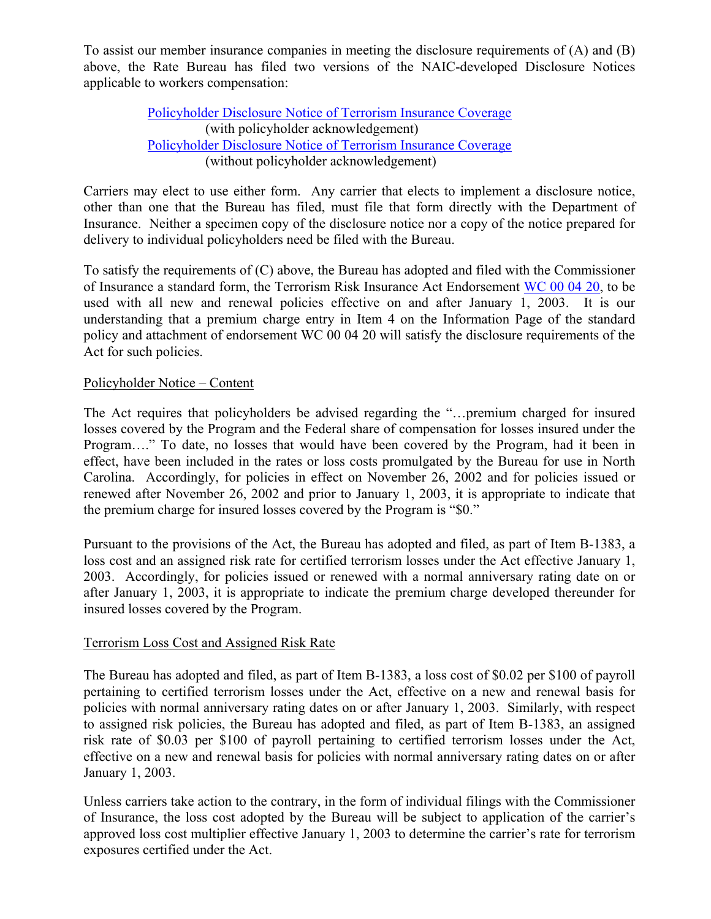To assist our member insurance companies in meeting the disclosure requirements of (A) and (B) above, the Rate Bureau has filed two versions of the NAIC-developed Disclosure Notices applicable to workers compensation:

> [Policyholder Disclosure Notice of Terrorism Insurance Coverage](http://www.ncrb.org/ncrb/workers comp services/terrorism act/disclosure w ack.pdf) (with policyholder acknowledgement) [Policyholder Disclosure Notice of Terrorism Insurance Coverage](http://www.ncrb.org/ncrb/workers comp services/terrorism act/disclosure wo ack.pdf) (without policyholder acknowledgement)

Carriers may elect to use either form. Any carrier that elects to implement a disclosure notice, other than one that the Bureau has filed, must file that form directly with the Department of Insurance. Neither a specimen copy of the disclosure notice nor a copy of the notice prepared for delivery to individual policyholders need be filed with the Bureau.

To satisfy the requirements of (C) above, the Bureau has adopted and filed with the Commissioner of Insurance a standard form, the Terrorism Risk Insurance Act Endorsement [WC 00 04 20,](http://www.ncrb.org/ncrb/workers comp services/terrorism act/Terrorism Endorsement.pdf) to be used with all new and renewal policies effective on and after January 1, 2003. It is our understanding that a premium charge entry in Item 4 on the Information Page of the standard policy and attachment of endorsement WC 00 04 20 will satisfy the disclosure requirements of the Act for such policies.

## Policyholder Notice – Content

The Act requires that policyholders be advised regarding the "…premium charged for insured losses covered by the Program and the Federal share of compensation for losses insured under the Program…." To date, no losses that would have been covered by the Program, had it been in effect, have been included in the rates or loss costs promulgated by the Bureau for use in North Carolina. Accordingly, for policies in effect on November 26, 2002 and for policies issued or renewed after November 26, 2002 and prior to January 1, 2003, it is appropriate to indicate that the premium charge for insured losses covered by the Program is "\$0."

Pursuant to the provisions of the Act, the Bureau has adopted and filed, as part of Item B-1383, a loss cost and an assigned risk rate for certified terrorism losses under the Act effective January 1, 2003. Accordingly, for policies issued or renewed with a normal anniversary rating date on or after January 1, 2003, it is appropriate to indicate the premium charge developed thereunder for insured losses covered by the Program.

#### Terrorism Loss Cost and Assigned Risk Rate

The Bureau has adopted and filed, as part of Item B-1383, a loss cost of \$0.02 per \$100 of payroll pertaining to certified terrorism losses under the Act, effective on a new and renewal basis for policies with normal anniversary rating dates on or after January 1, 2003. Similarly, with respect to assigned risk policies, the Bureau has adopted and filed, as part of Item B-1383, an assigned risk rate of \$0.03 per \$100 of payroll pertaining to certified terrorism losses under the Act, effective on a new and renewal basis for policies with normal anniversary rating dates on or after January 1, 2003.

Unless carriers take action to the contrary, in the form of individual filings with the Commissioner of Insurance, the loss cost adopted by the Bureau will be subject to application of the carrier's approved loss cost multiplier effective January 1, 2003 to determine the carrier's rate for terrorism exposures certified under the Act.